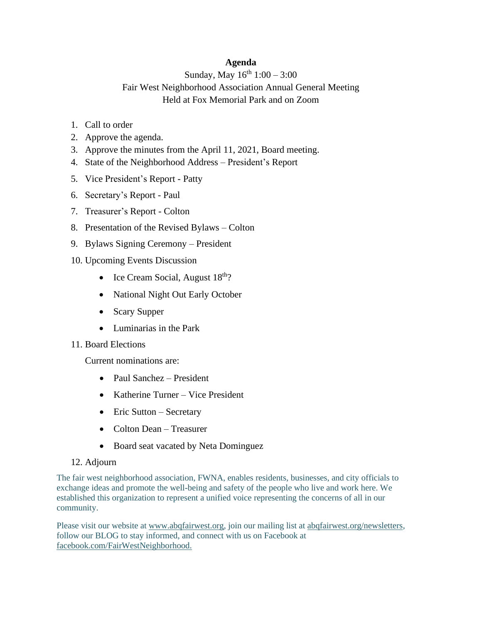## **Agenda**

## Sunday, May  $16^{th}$  1:00 – 3:00

## Fair West Neighborhood Association Annual General Meeting Held at Fox Memorial Park and on Zoom

- 1. Call to order
- 2. Approve the agenda.
- 3. Approve the minutes from the April 11, 2021, Board meeting.
- 4. State of the Neighborhood Address President's Report
- 5. Vice President's Report Patty
- 6. Secretary's Report Paul
- 7. Treasurer's Report Colton
- 8. Presentation of the Revised Bylaws Colton
- 9. Bylaws Signing Ceremony President
- 10. Upcoming Events Discussion
	- Ice Cream Social, August  $18<sup>th</sup>$ ?
	- National Night Out Early October
	- Scary Supper
	- Luminarias in the Park
- 11. Board Elections

Current nominations are:

- Paul Sanchez President
- Katherine Turner Vice President
- Eric Sutton Secretary
- Colton Dean Treasurer
- Board seat vacated by Neta Dominguez

## 12. Adjourn

The fair west neighborhood association, FWNA, enables residents, businesses, and city officials to exchange ideas and promote the well-being and safety of the people who live and work here. We established this organization to represent a unified voice representing the concerns of all in our community.

Please visit our website at [www.abqfairwest.org,](http://www.abqfairwest.org/) join our mailing list at [abqfairwest.org/newsletters,](http://abqfairwest.org/newsletters) follow our BLOG to stay informed, and connect with us on Facebook at [facebook.com/FairWestNeighborhood.](http://facebook.com/FairWestNeighborhood)